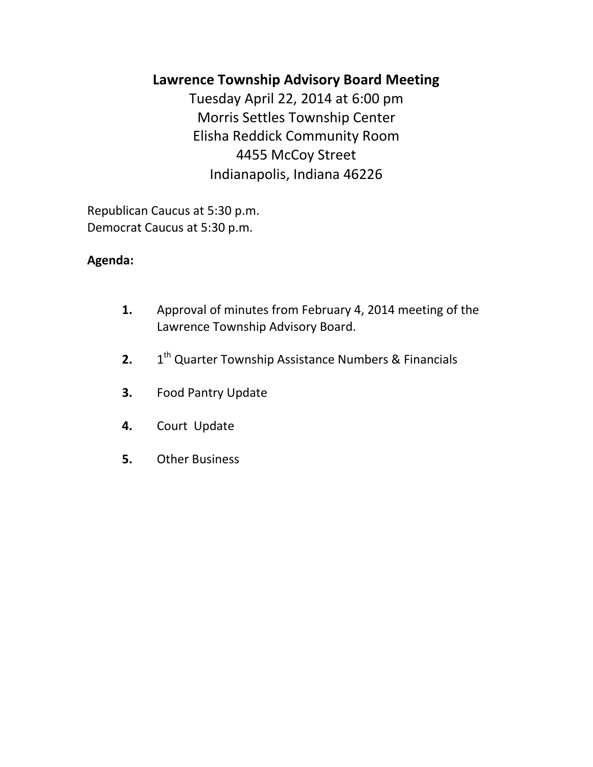# **Lawrence Township Advisory Board Meeting**

Tuesday April 22, 2014 at 6:00 pm Morris Settles Township Center Elisha Reddick Community Room 4455 McCoy Street Indianapolis, Indiana 46226

Republican Caucus at 5:30 p.m. Democrat Caucus at 5:30 p.m.

# **Agenda:**

- **1.** Approval of minutes from February 4, 2014 meeting of the Lawrence Township Advisory Board.
- **2.** 1 1<sup>th</sup> Quarter Township Assistance Numbers & Financials
- **3.** Food Pantry Update
- **4.** Court Update
- **5.** Other Business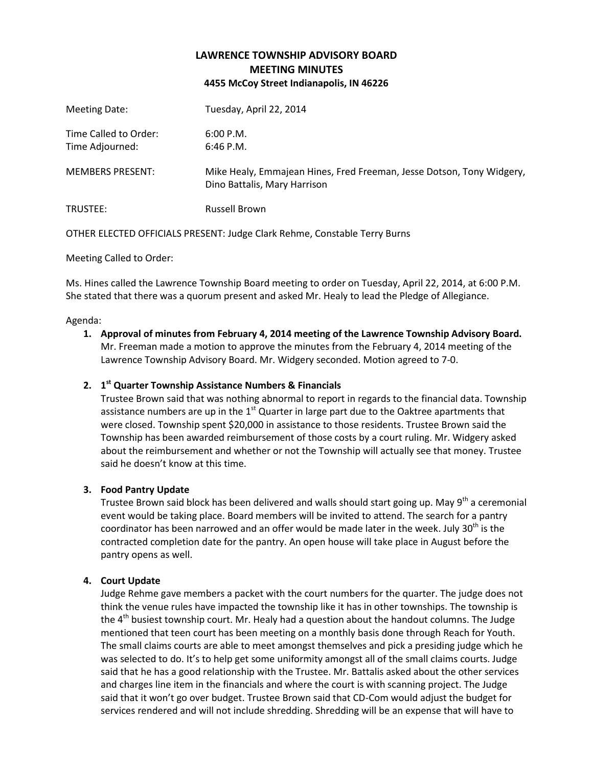# **LAWRENCE TOWNSHIP ADVISORY BOARD MEETING MINUTES 4455 McCoy Street Indianapolis, IN 46226**

| Meeting Date:                            | Tuesday, April 22, 2014                                                                               |
|------------------------------------------|-------------------------------------------------------------------------------------------------------|
| Time Called to Order:<br>Time Adjourned: | 6:00 P.M.<br>$6:46$ P.M.                                                                              |
| <b>MEMBERS PRESENT:</b>                  | Mike Healy, Emmajean Hines, Fred Freeman, Jesse Dotson, Tony Widgery,<br>Dino Battalis, Mary Harrison |
| TRUSTEE:                                 | <b>Russell Brown</b>                                                                                  |

OTHER ELECTED OFFICIALS PRESENT: Judge Clark Rehme, Constable Terry Burns

#### Meeting Called to Order:

Ms. Hines called the Lawrence Township Board meeting to order on Tuesday, April 22, 2014, at 6:00 P.M. She stated that there was a quorum present and asked Mr. Healy to lead the Pledge of Allegiance.

#### Agenda:

**1. Approval of minutes from February 4, 2014 meeting of the Lawrence Township Advisory Board.** Mr. Freeman made a motion to approve the minutes from the February 4, 2014 meeting of the Lawrence Township Advisory Board. Mr. Widgery seconded. Motion agreed to 7-0.

# **2. 1 st Quarter Township Assistance Numbers & Financials**

Trustee Brown said that was nothing abnormal to report in regards to the financial data. Township assistance numbers are up in the  $1<sup>st</sup>$  Quarter in large part due to the Oaktree apartments that were closed. Township spent \$20,000 in assistance to those residents. Trustee Brown said the Township has been awarded reimbursement of those costs by a court ruling. Mr. Widgery asked about the reimbursement and whether or not the Township will actually see that money. Trustee said he doesn't know at this time.

## **3. Food Pantry Update**

Trustee Brown said block has been delivered and walls should start going up. May  $9<sup>th</sup>$  a ceremonial event would be taking place. Board members will be invited to attend. The search for a pantry coordinator has been narrowed and an offer would be made later in the week. July 30<sup>th</sup> is the contracted completion date for the pantry. An open house will take place in August before the pantry opens as well.

## **4. Court Update**

Judge Rehme gave members a packet with the court numbers for the quarter. The judge does not think the venue rules have impacted the township like it has in other townships. The township is the  $4<sup>th</sup>$  busiest township court. Mr. Healy had a question about the handout columns. The Judge mentioned that teen court has been meeting on a monthly basis done through Reach for Youth. The small claims courts are able to meet amongst themselves and pick a presiding judge which he was selected to do. It's to help get some uniformity amongst all of the small claims courts. Judge said that he has a good relationship with the Trustee. Mr. Battalis asked about the other services and charges line item in the financials and where the court is with scanning project. The Judge said that it won't go over budget. Trustee Brown said that CD-Com would adjust the budget for services rendered and will not include shredding. Shredding will be an expense that will have to